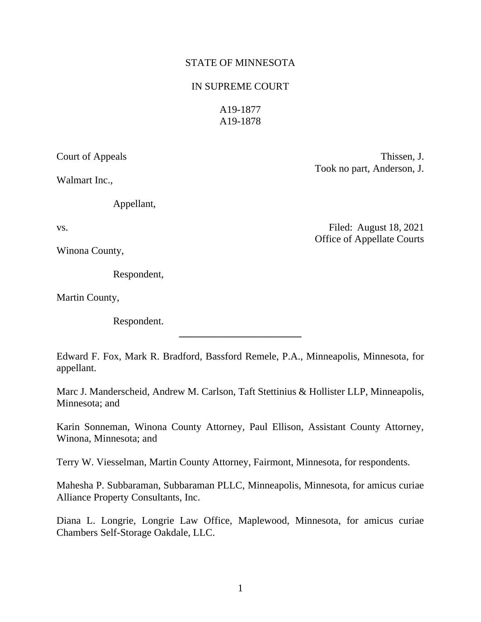### STATE OF MINNESOTA

#### IN SUPREME COURT

A19-1877 A19-1878

Walmart Inc.,

Appellant,

Winona County,

Respondent,

Martin County,

Respondent.

Edward F. Fox, Mark R. Bradford, Bassford Remele, P.A., Minneapolis, Minnesota, for appellant.

**\_\_\_\_\_\_\_\_\_\_\_\_\_\_\_\_\_\_\_\_\_\_\_\_**

Marc J. Manderscheid, Andrew M. Carlson, Taft Stettinius & Hollister LLP, Minneapolis, Minnesota; and

Karin Sonneman, Winona County Attorney, Paul Ellison, Assistant County Attorney, Winona, Minnesota; and

Terry W. Viesselman, Martin County Attorney, Fairmont, Minnesota, for respondents.

Mahesha P. Subbaraman, Subbaraman PLLC, Minneapolis, Minnesota, for amicus curiae Alliance Property Consultants, Inc.

Diana L. Longrie, Longrie Law Office, Maplewood, Minnesota, for amicus curiae Chambers Self-Storage Oakdale, LLC.

Court of Appeals Thissen, J. Took no part, Anderson, J.

vs. Filed: August 18, 2021 Office of Appellate Courts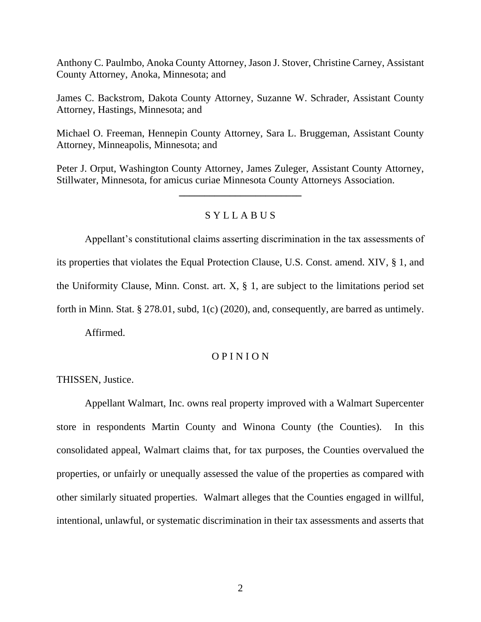Anthony C. Paulmbo, Anoka County Attorney, Jason J. Stover, Christine Carney, Assistant County Attorney, Anoka, Minnesota; and

James C. Backstrom, Dakota County Attorney, Suzanne W. Schrader, Assistant County Attorney, Hastings, Minnesota; and

Michael O. Freeman, Hennepin County Attorney, Sara L. Bruggeman, Assistant County Attorney, Minneapolis, Minnesota; and

Peter J. Orput, Washington County Attorney, James Zuleger, Assistant County Attorney, Stillwater, Minnesota, for amicus curiae Minnesota County Attorneys Association.

**\_\_\_\_\_\_\_\_\_\_\_\_\_\_\_\_\_\_\_\_\_\_\_\_**

## S Y L L A B U S

Appellant's constitutional claims asserting discrimination in the tax assessments of its properties that violates the Equal Protection Clause, U.S. Const. amend. XIV, § 1, and the Uniformity Clause, Minn. Const. art.  $X$ ,  $\S$  1, are subject to the limitations period set forth in Minn. Stat. § 278.01, subd, 1(c) (2020), and, consequently, are barred as untimely.

Affirmed.

### O P I N I O N

THISSEN, Justice.

Appellant Walmart, Inc. owns real property improved with a Walmart Supercenter store in respondents Martin County and Winona County (the Counties). In this consolidated appeal, Walmart claims that, for tax purposes, the Counties overvalued the properties, or unfairly or unequally assessed the value of the properties as compared with other similarly situated properties. Walmart alleges that the Counties engaged in willful, intentional, unlawful, or systematic discrimination in their tax assessments and asserts that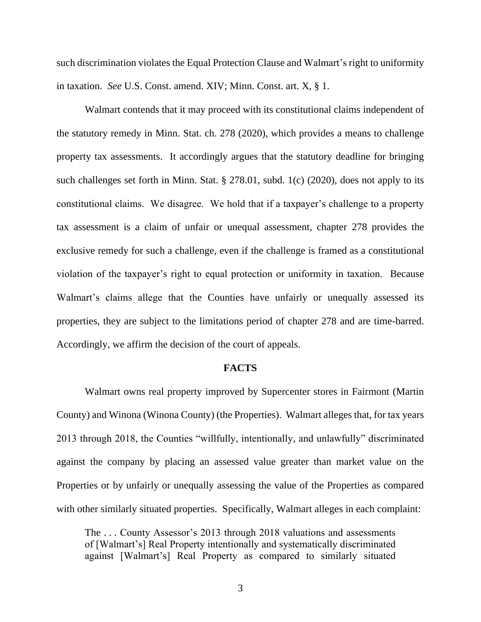such discrimination violates the Equal Protection Clause and Walmart's right to uniformity in taxation. *See* U.S. Const. amend. XIV; Minn. Const. art. X, § 1.

Walmart contends that it may proceed with its constitutional claims independent of the statutory remedy in Minn. Stat. ch. 278 (2020), which provides a means to challenge property tax assessments. It accordingly argues that the statutory deadline for bringing such challenges set forth in Minn. Stat. § 278.01, subd. 1(c) (2020), does not apply to its constitutional claims. We disagree. We hold that if a taxpayer's challenge to a property tax assessment is a claim of unfair or unequal assessment, chapter 278 provides the exclusive remedy for such a challenge, even if the challenge is framed as a constitutional violation of the taxpayer's right to equal protection or uniformity in taxation. Because Walmart's claims allege that the Counties have unfairly or unequally assessed its properties, they are subject to the limitations period of chapter 278 and are time-barred. Accordingly, we affirm the decision of the court of appeals.

#### **FACTS**

Walmart owns real property improved by Supercenter stores in Fairmont (Martin County) and Winona (Winona County) (the Properties). Walmart alleges that, for tax years 2013 through 2018, the Counties "willfully, intentionally, and unlawfully" discriminated against the company by placing an assessed value greater than market value on the Properties or by unfairly or unequally assessing the value of the Properties as compared with other similarly situated properties. Specifically, Walmart alleges in each complaint:

The . . . County Assessor's 2013 through 2018 valuations and assessments of [Walmart's] Real Property intentionally and systematically discriminated against [Walmart's] Real Property as compared to similarly situated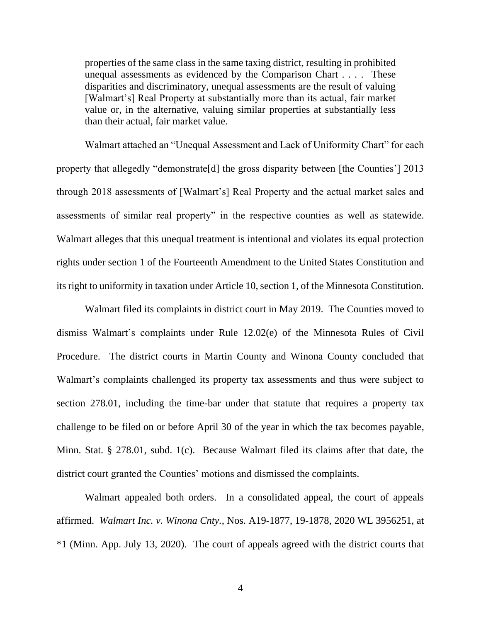properties of the same class in the same taxing district, resulting in prohibited unequal assessments as evidenced by the Comparison Chart . . . . These disparities and discriminatory, unequal assessments are the result of valuing [Walmart's] Real Property at substantially more than its actual, fair market value or, in the alternative, valuing similar properties at substantially less than their actual, fair market value.

Walmart attached an "Unequal Assessment and Lack of Uniformity Chart" for each property that allegedly "demonstrate[d] the gross disparity between [the Counties'] 2013 through 2018 assessments of [Walmart's] Real Property and the actual market sales and assessments of similar real property" in the respective counties as well as statewide. Walmart alleges that this unequal treatment is intentional and violates its equal protection rights under section 1 of the Fourteenth Amendment to the United States Constitution and its right to uniformity in taxation under Article 10, section 1, of the Minnesota Constitution.

Walmart filed its complaints in district court in May 2019. The Counties moved to dismiss Walmart's complaints under Rule 12.02(e) of the Minnesota Rules of Civil Procedure. The district courts in Martin County and Winona County concluded that Walmart's complaints challenged its property tax assessments and thus were subject to section 278.01, including the time-bar under that statute that requires a property tax challenge to be filed on or before April 30 of the year in which the tax becomes payable, Minn. Stat. § 278.01, subd. 1(c). Because Walmart filed its claims after that date, the district court granted the Counties' motions and dismissed the complaints.

Walmart appealed both orders. In a consolidated appeal, the court of appeals affirmed. *Walmart Inc. v. Winona Cnty.*, Nos. A19-1877, 19-1878, 2020 WL 3956251, at \*1 (Minn. App. July 13, 2020). The court of appeals agreed with the district courts that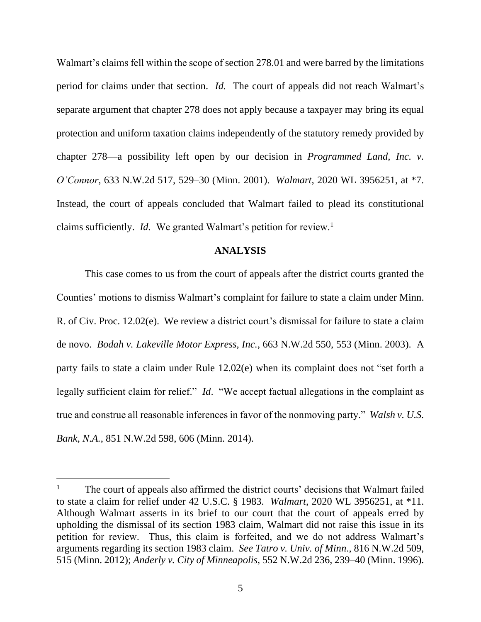Walmart's claims fell within the scope of section 278.01 and were barred by the limitations period for claims under that section. *Id.* The court of appeals did not reach Walmart's separate argument that chapter 278 does not apply because a taxpayer may bring its equal protection and uniform taxation claims independently of the statutory remedy provided by chapter 278—a possibility left open by our decision in *Programmed Land, Inc. v. O'Connor*, 633 N.W.2d 517, 529–30 (Minn. 2001). *Walmart*, 2020 WL 3956251, at \*7. Instead, the court of appeals concluded that Walmart failed to plead its constitutional claims sufficiently. *Id.* We granted Walmart's petition for review.<sup>1</sup>

#### **ANALYSIS**

This case comes to us from the court of appeals after the district courts granted the Counties' motions to dismiss Walmart's complaint for failure to state a claim under Minn. R. of Civ. Proc. 12.02(e). We review a district court's dismissal for failure to state a claim de novo. *Bodah v. Lakeville Motor Express, Inc.*, 663 N.W.2d 550, 553 (Minn. 2003). A party fails to state a claim under Rule 12.02(e) when its complaint does not "set forth a legally sufficient claim for relief." *Id*. "We accept factual allegations in the complaint as true and construe all reasonable inferences in favor of the nonmoving party." *Walsh v. U.S. Bank, N.A.*, 851 N.W.2d 598, 606 (Minn. 2014).

<sup>&</sup>lt;sup>1</sup> The court of appeals also affirmed the district courts' decisions that Walmart failed to state a claim for relief under 42 U.S.C. § 1983. *Walmart*, 2020 WL 3956251, at \*11. Although Walmart asserts in its brief to our court that the court of appeals erred by upholding the dismissal of its section 1983 claim, Walmart did not raise this issue in its petition for review. Thus, this claim is forfeited, and we do not address Walmart's arguments regarding its section 1983 claim. *See Tatro v. Univ. of Minn*., 816 N.W.2d 509, 515 (Minn. 2012); *Anderly v. City of Minneapolis*, 552 N.W.2d 236, 239–40 (Minn. 1996).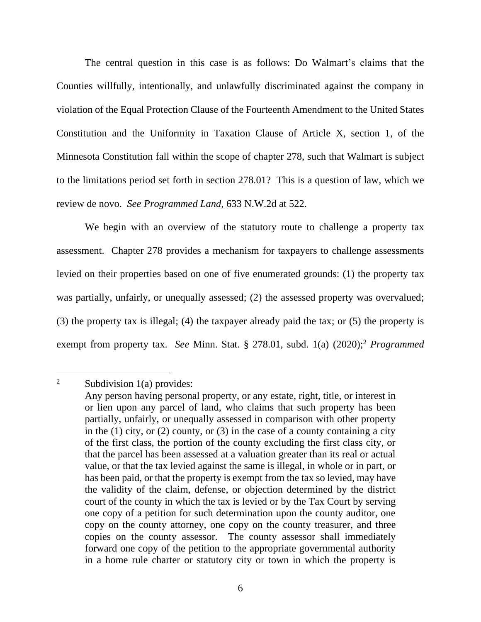The central question in this case is as follows: Do Walmart's claims that the Counties willfully, intentionally, and unlawfully discriminated against the company in violation of the Equal Protection Clause of the Fourteenth Amendment to the United States Constitution and the Uniformity in Taxation Clause of Article X, section 1, of the Minnesota Constitution fall within the scope of chapter 278, such that Walmart is subject to the limitations period set forth in section 278.01? This is a question of law, which we review de novo. *See Programmed Land*, 633 N.W.2d at 522.

We begin with an overview of the statutory route to challenge a property tax assessment. Chapter 278 provides a mechanism for taxpayers to challenge assessments levied on their properties based on one of five enumerated grounds: (1) the property tax was partially, unfairly, or unequally assessed; (2) the assessed property was overvalued; (3) the property tax is illegal; (4) the taxpayer already paid the tax; or (5) the property is exempt from property tax. *See* Minn. Stat. § 278.01, subd. 1(a) (2020); <sup>2</sup> *Programmed* 

<sup>&</sup>lt;sup>2</sup> Subdivision 1(a) provides:

Any person having personal property, or any estate, right, title, or interest in or lien upon any parcel of land, who claims that such property has been partially, unfairly, or unequally assessed in comparison with other property in the (1) city, or (2) county, or (3) in the case of a county containing a city of the first class, the portion of the county excluding the first class city, or that the parcel has been assessed at a valuation greater than its real or actual value, or that the tax levied against the same is illegal, in whole or in part, or has been paid, or that the property is exempt from the tax so levied, may have the validity of the claim, defense, or objection determined by the district court of the county in which the tax is levied or by the Tax Court by serving one copy of a petition for such determination upon the county auditor, one copy on the county attorney, one copy on the county treasurer, and three copies on the county assessor. The county assessor shall immediately forward one copy of the petition to the appropriate governmental authority in a home rule charter or statutory city or town in which the property is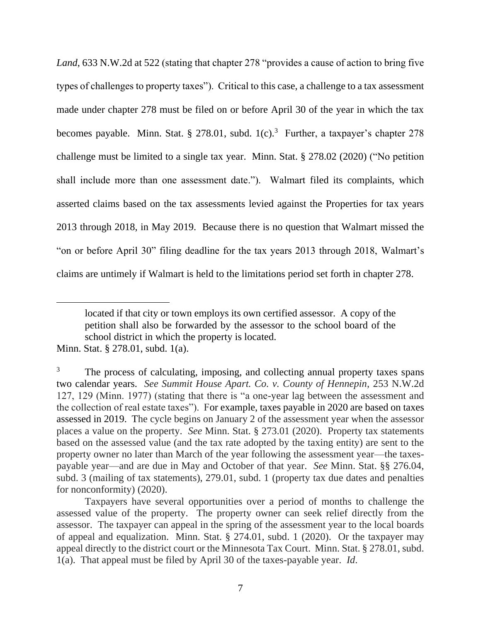*Land*, 633 N.W.2d at 522 (stating that chapter 278 "provides a cause of action to bring five types of challenges to property taxes"). Critical to this case, a challenge to a tax assessment made under chapter 278 must be filed on or before April 30 of the year in which the tax becomes payable. Minn. Stat. § 278.01, subd.  $1(c)$ .<sup>3</sup> Further, a taxpayer's chapter 278 challenge must be limited to a single tax year. Minn. Stat. § 278.02 (2020) ("No petition shall include more than one assessment date."). Walmart filed its complaints, which asserted claims based on the tax assessments levied against the Properties for tax years 2013 through 2018, in May 2019. Because there is no question that Walmart missed the "on or before April 30" filing deadline for the tax years 2013 through 2018, Walmart's claims are untimely if Walmart is held to the limitations period set forth in chapter 278.

located if that city or town employs its own certified assessor. A copy of the petition shall also be forwarded by the assessor to the school board of the school district in which the property is located.

Minn. Stat. § 278.01, subd. 1(a).

<sup>3</sup> The process of calculating, imposing, and collecting annual property taxes spans two calendar years. *See Summit House Apart. Co. v. County of Hennepin*, 253 N.W.2d 127, 129 (Minn. 1977) (stating that there is "a one-year lag between the assessment and the collection of real estate taxes"). For example, taxes payable in 2020 are based on taxes assessed in 2019. The cycle begins on January 2 of the assessment year when the assessor places a value on the property. *See* Minn. Stat. § 273.01 (2020). Property tax statements based on the assessed value (and the tax rate adopted by the taxing entity) are sent to the property owner no later than March of the year following the assessment year—the taxespayable year—and are due in May and October of that year. *See* Minn. Stat. §§ 276.04, subd. 3 (mailing of tax statements), 279.01, subd. 1 (property tax due dates and penalties for nonconformity) (2020).

Taxpayers have several opportunities over a period of months to challenge the assessed value of the property. The property owner can seek relief directly from the assessor. The taxpayer can appeal in the spring of the assessment year to the local boards of appeal and equalization. Minn. Stat. § 274.01, subd. 1 (2020). Or the taxpayer may appeal directly to the district court or the Minnesota Tax Court. Minn. Stat. § 278.01, subd. 1(a). That appeal must be filed by April 30 of the taxes-payable year. *Id*.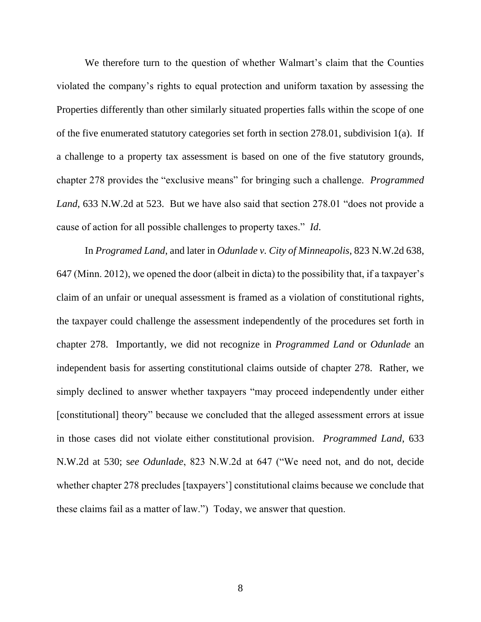We therefore turn to the question of whether Walmart's claim that the Counties violated the company's rights to equal protection and uniform taxation by assessing the Properties differently than other similarly situated properties falls within the scope of one of the five enumerated statutory categories set forth in section 278.01, subdivision 1(a). If a challenge to a property tax assessment is based on one of the five statutory grounds, chapter 278 provides the "exclusive means" for bringing such a challenge. *Programmed Land*, 633 N.W.2d at 523. But we have also said that section 278.01 "does not provide a cause of action for all possible challenges to property taxes." *Id*.

In *Programed Land*, and later in *Odunlade v. City of Minneapolis*, 823 N.W.2d 638, 647 (Minn. 2012), we opened the door (albeit in dicta) to the possibility that, if a taxpayer's claim of an unfair or unequal assessment is framed as a violation of constitutional rights, the taxpayer could challenge the assessment independently of the procedures set forth in chapter 278. Importantly, we did not recognize in *Programmed Land* or *Odunlade* an independent basis for asserting constitutional claims outside of chapter 278. Rather, we simply declined to answer whether taxpayers "may proceed independently under either [constitutional] theory" because we concluded that the alleged assessment errors at issue in those cases did not violate either constitutional provision. *Programmed Land*, 633 N.W.2d at 530; s*ee Odunlade*, 823 N.W.2d at 647 ("We need not, and do not, decide whether chapter 278 precludes [taxpayers'] constitutional claims because we conclude that these claims fail as a matter of law.") Today, we answer that question.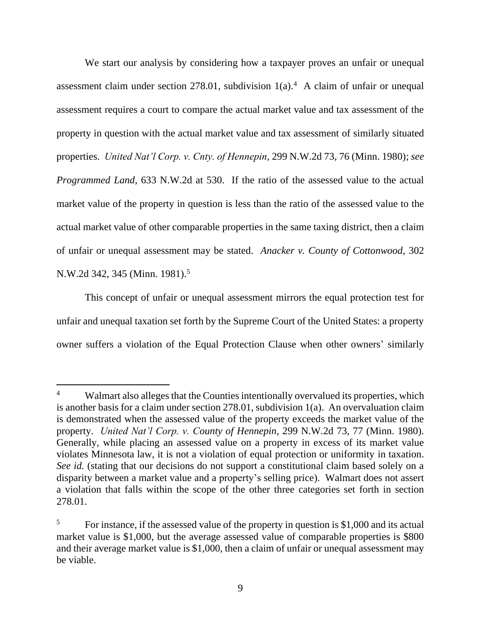We start our analysis by considering how a taxpayer proves an unfair or unequal assessment claim under section 278.01, subdivision  $1(a)$ .<sup>4</sup> A claim of unfair or unequal assessment requires a court to compare the actual market value and tax assessment of the property in question with the actual market value and tax assessment of similarly situated properties. *United Nat'l Corp. v. Cnty. of Hennepin*, 299 N.W.2d 73, 76 (Minn. 1980); *see Programmed Land*, 633 N.W.2d at 530. If the ratio of the assessed value to the actual market value of the property in question is less than the ratio of the assessed value to the actual market value of other comparable properties in the same taxing district, then a claim of unfair or unequal assessment may be stated. *Anacker v. County of Cottonwood*, 302 N.W.2d 342, 345 (Minn. 1981).<sup>5</sup>

This concept of unfair or unequal assessment mirrors the equal protection test for unfair and unequal taxation set forth by the Supreme Court of the United States: a property owner suffers a violation of the Equal Protection Clause when other owners' similarly

Walmart also alleges that the Counties intentionally overvalued its properties, which is another basis for a claim under section 278.01, subdivision 1(a). An overvaluation claim is demonstrated when the assessed value of the property exceeds the market value of the property. *United Nat'l Corp. v. County of Hennepin*, 299 N.W.2d 73, 77 (Minn. 1980). Generally, while placing an assessed value on a property in excess of its market value violates Minnesota law, it is not a violation of equal protection or uniformity in taxation. *See id.* (stating that our decisions do not support a constitutional claim based solely on a disparity between a market value and a property's selling price). Walmart does not assert a violation that falls within the scope of the other three categories set forth in section 278.01.

<sup>&</sup>lt;sup>5</sup> For instance, if the assessed value of the property in question is \$1,000 and its actual market value is \$1,000, but the average assessed value of comparable properties is \$800 and their average market value is \$1,000, then a claim of unfair or unequal assessment may be viable.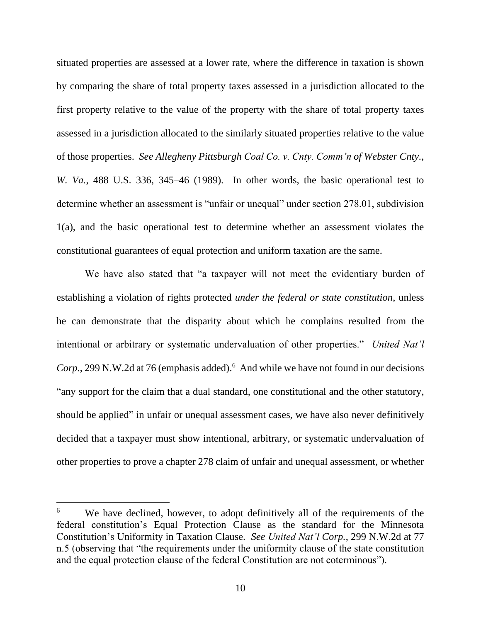situated properties are assessed at a lower rate, where the difference in taxation is shown by comparing the share of total property taxes assessed in a jurisdiction allocated to the first property relative to the value of the property with the share of total property taxes assessed in a jurisdiction allocated to the similarly situated properties relative to the value of those properties. *See Allegheny Pittsburgh Coal Co. v. Cnty. Comm'n of Webster Cnty., W. Va.*, 488 U.S. 336, 345–46 (1989). In other words, the basic operational test to determine whether an assessment is "unfair or unequal" under section 278.01, subdivision 1(a), and the basic operational test to determine whether an assessment violates the constitutional guarantees of equal protection and uniform taxation are the same.

We have also stated that "a taxpayer will not meet the evidentiary burden of establishing a violation of rights protected *under the federal or state constitution*, unless he can demonstrate that the disparity about which he complains resulted from the intentional or arbitrary or systematic undervaluation of other properties." *United Nat'l* Corp., 299 N.W.2d at 76 (emphasis added).<sup>6</sup> And while we have not found in our decisions "any support for the claim that a dual standard, one constitutional and the other statutory, should be applied" in unfair or unequal assessment cases, we have also never definitively decided that a taxpayer must show intentional, arbitrary, or systematic undervaluation of other properties to prove a chapter 278 claim of unfair and unequal assessment, or whether

<sup>&</sup>lt;sup>6</sup> We have declined, however, to adopt definitively all of the requirements of the federal constitution's Equal Protection Clause as the standard for the Minnesota Constitution's Uniformity in Taxation Clause. *See United Nat'l Corp.*, 299 N.W.2d at 77 n.5 (observing that "the requirements under the uniformity clause of the state constitution and the equal protection clause of the federal Constitution are not coterminous").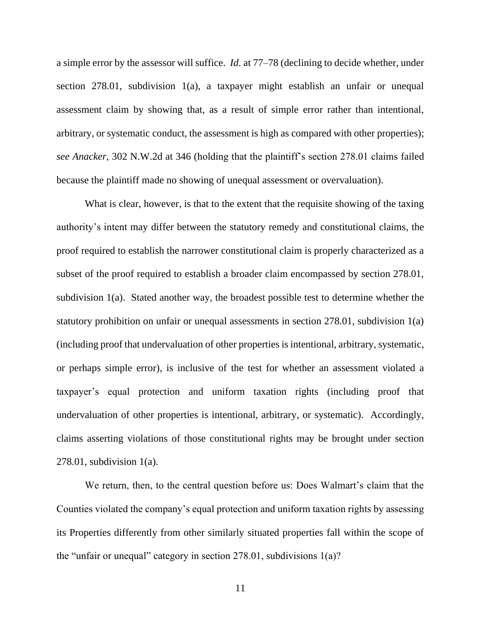a simple error by the assessor will suffice. *Id*. at 77–78 (declining to decide whether, under section 278.01, subdivision 1(a), a taxpayer might establish an unfair or unequal assessment claim by showing that, as a result of simple error rather than intentional, arbitrary, or systematic conduct, the assessment is high as compared with other properties); *see Anacker*, 302 N.W.2d at 346 (holding that the plaintiff's section 278.01 claims failed because the plaintiff made no showing of unequal assessment or overvaluation).

What is clear, however, is that to the extent that the requisite showing of the taxing authority's intent may differ between the statutory remedy and constitutional claims, the proof required to establish the narrower constitutional claim is properly characterized as a subset of the proof required to establish a broader claim encompassed by section 278.01, subdivision 1(a). Stated another way, the broadest possible test to determine whether the statutory prohibition on unfair or unequal assessments in section 278.01, subdivision 1(a) (including proof that undervaluation of other properties is intentional, arbitrary, systematic, or perhaps simple error), is inclusive of the test for whether an assessment violated a taxpayer's equal protection and uniform taxation rights (including proof that undervaluation of other properties is intentional, arbitrary, or systematic). Accordingly, claims asserting violations of those constitutional rights may be brought under section 278.01, subdivision 1(a).

We return, then, to the central question before us: Does Walmart's claim that the Counties violated the company's equal protection and uniform taxation rights by assessing its Properties differently from other similarly situated properties fall within the scope of the "unfair or unequal" category in section  $278.01$ , subdivisions  $1(a)$ ?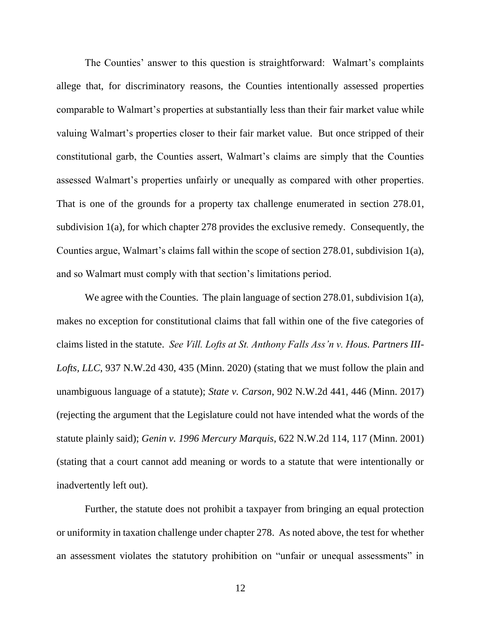The Counties' answer to this question is straightforward: Walmart's complaints allege that, for discriminatory reasons, the Counties intentionally assessed properties comparable to Walmart's properties at substantially less than their fair market value while valuing Walmart's properties closer to their fair market value. But once stripped of their constitutional garb, the Counties assert, Walmart's claims are simply that the Counties assessed Walmart's properties unfairly or unequally as compared with other properties. That is one of the grounds for a property tax challenge enumerated in section 278.01, subdivision 1(a), for which chapter 278 provides the exclusive remedy. Consequently, the Counties argue, Walmart's claims fall within the scope of section 278.01, subdivision 1(a), and so Walmart must comply with that section's limitations period.

We agree with the Counties. The plain language of section 278.01, subdivision 1(a), makes no exception for constitutional claims that fall within one of the five categories of claims listed in the statute. *See Vill. Lofts at St. Anthony Falls Ass'n v. Hous. Partners III-Lofts, LLC*, 937 N.W.2d 430, 435 (Minn. 2020) (stating that we must follow the plain and unambiguous language of a statute); *State v. Carson*, 902 N.W.2d 441, 446 (Minn. 2017) (rejecting the argument that the Legislature could not have intended what the words of the statute plainly said); *Genin v. 1996 Mercury Marquis*, 622 N.W.2d 114, 117 (Minn. 2001) (stating that a court cannot add meaning or words to a statute that were intentionally or inadvertently left out).

Further, the statute does not prohibit a taxpayer from bringing an equal protection or uniformity in taxation challenge under chapter 278. As noted above, the test for whether an assessment violates the statutory prohibition on "unfair or unequal assessments" in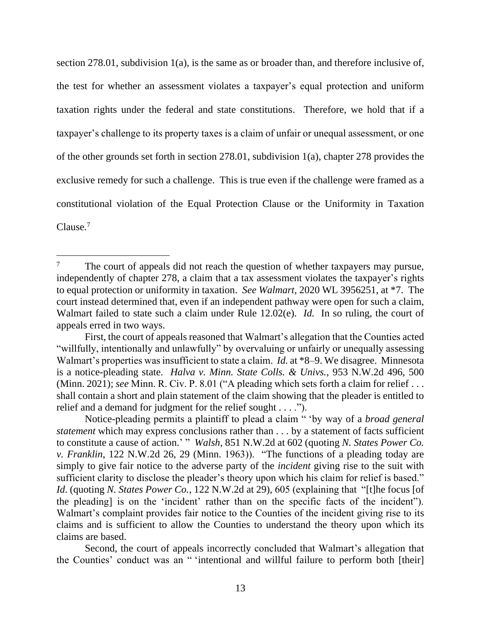section 278.01, subdivision 1(a), is the same as or broader than, and therefore inclusive of, the test for whether an assessment violates a taxpayer's equal protection and uniform taxation rights under the federal and state constitutions. Therefore, we hold that if a taxpayer's challenge to its property taxes is a claim of unfair or unequal assessment, or one of the other grounds set forth in section 278.01, subdivision 1(a), chapter 278 provides the exclusive remedy for such a challenge. This is true even if the challenge were framed as a constitutional violation of the Equal Protection Clause or the Uniformity in Taxation Clause.<sup>7</sup>

 $7$  The court of appeals did not reach the question of whether taxpayers may pursue, independently of chapter 278, a claim that a tax assessment violates the taxpayer's rights to equal protection or uniformity in taxation. *See Walmart*, 2020 WL 3956251, at \*7. The court instead determined that, even if an independent pathway were open for such a claim, Walmart failed to state such a claim under Rule 12.02(e). *Id.* In so ruling, the court of appeals erred in two ways.

First, the court of appeals reasoned that Walmart's allegation that the Counties acted "willfully, intentionally and unlawfully" by overvaluing or unfairly or unequally assessing Walmart's properties was insufficient to state a claim. *Id.* at \*8–9. We disagree. Minnesota is a notice-pleading state. *Halva v. Minn. State Colls. & Univs.*, 953 N.W.2d 496, 500 (Minn. 2021); *see* Minn. R. Civ. P. 8.01 ("A pleading which sets forth a claim for relief . . . shall contain a short and plain statement of the claim showing that the pleader is entitled to relief and a demand for judgment for the relief sought . . . .").

Notice-pleading permits a plaintiff to plead a claim " 'by way of a *broad general statement* which may express conclusions rather than . . . by a statement of facts sufficient to constitute a cause of action.' " *Walsh*, 851 N.W.2d at 602 (quoting *N. States Power Co. v. Franklin*, 122 N.W.2d 26, 29 (Minn. 1963)). "The functions of a pleading today are simply to give fair notice to the adverse party of the *incident* giving rise to the suit with sufficient clarity to disclose the pleader's theory upon which his claim for relief is based." *Id.* (quoting *N. States Power Co.,* 122 N.W.2d at 29), 605 (explaining that "[t]he focus [of the pleading] is on the 'incident' rather than on the specific facts of the incident"). Walmart's complaint provides fair notice to the Counties of the incident giving rise to its claims and is sufficient to allow the Counties to understand the theory upon which its claims are based.

Second, the court of appeals incorrectly concluded that Walmart's allegation that the Counties' conduct was an " 'intentional and willful failure to perform both [their]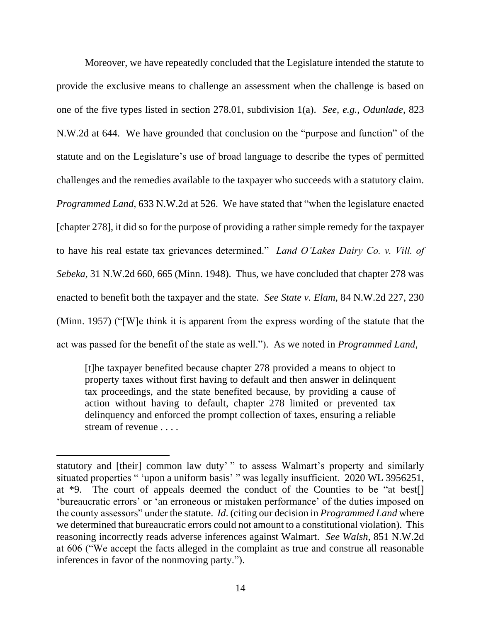Moreover, we have repeatedly concluded that the Legislature intended the statute to provide the exclusive means to challenge an assessment when the challenge is based on one of the five types listed in section 278.01, subdivision 1(a). *See, e.g.*, *Odunlade*, 823 N.W.2d at 644. We have grounded that conclusion on the "purpose and function" of the statute and on the Legislature's use of broad language to describe the types of permitted challenges and the remedies available to the taxpayer who succeeds with a statutory claim. *Programmed Land*, 633 N.W.2d at 526. We have stated that "when the legislature enacted [chapter 278], it did so for the purpose of providing a rather simple remedy for the taxpayer to have his real estate tax grievances determined." *Land O'Lakes Dairy Co. v. Vill. of Sebeka*, 31 N.W.2d 660, 665 (Minn. 1948). Thus, we have concluded that chapter 278 was enacted to benefit both the taxpayer and the state. *See State v. Elam*, 84 N.W.2d 227, 230 (Minn. 1957) ("[W]e think it is apparent from the express wording of the statute that the act was passed for the benefit of the state as well."). As we noted in *Programmed Land*,

[t]he taxpayer benefited because chapter 278 provided a means to object to property taxes without first having to default and then answer in delinquent tax proceedings, and the state benefited because, by providing a cause of action without having to default, chapter 278 limited or prevented tax delinquency and enforced the prompt collection of taxes, ensuring a reliable stream of revenue . . . .

statutory and [their] common law duty' " to assess Walmart's property and similarly situated properties " 'upon a uniform basis' " was legally insufficient. 2020 WL 3956251, at \*9. The court of appeals deemed the conduct of the Counties to be "at best[] 'bureaucratic errors' or 'an erroneous or mistaken performance' of the duties imposed on the county assessors" under the statute. *Id*. (citing our decision in *Programmed Land* where we determined that bureaucratic errors could not amount to a constitutional violation). This reasoning incorrectly reads adverse inferences against Walmart. *See Walsh*, 851 N.W.2d at 606 ("We accept the facts alleged in the complaint as true and construe all reasonable inferences in favor of the nonmoving party.").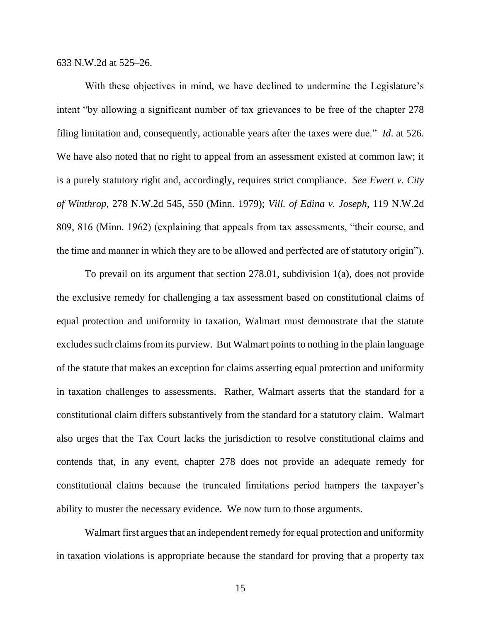633 N.W.2d at 525–26.

With these objectives in mind, we have declined to undermine the Legislature's intent "by allowing a significant number of tax grievances to be free of the chapter 278 filing limitation and, consequently, actionable years after the taxes were due." *Id*. at 526. We have also noted that no right to appeal from an assessment existed at common law; it is a purely statutory right and, accordingly, requires strict compliance. *See Ewert v. City of Winthrop*, 278 N.W.2d 545, 550 (Minn. 1979); *Vill. of Edina v. Joseph*, 119 N.W.2d 809, 816 (Minn. 1962) (explaining that appeals from tax assessments, "their course, and the time and manner in which they are to be allowed and perfected are of statutory origin").

To prevail on its argument that section 278.01, subdivision 1(a), does not provide the exclusive remedy for challenging a tax assessment based on constitutional claims of equal protection and uniformity in taxation, Walmart must demonstrate that the statute excludes such claims from its purview. But Walmart points to nothing in the plain language of the statute that makes an exception for claims asserting equal protection and uniformity in taxation challenges to assessments. Rather, Walmart asserts that the standard for a constitutional claim differs substantively from the standard for a statutory claim. Walmart also urges that the Tax Court lacks the jurisdiction to resolve constitutional claims and contends that, in any event, chapter 278 does not provide an adequate remedy for constitutional claims because the truncated limitations period hampers the taxpayer's ability to muster the necessary evidence. We now turn to those arguments.

Walmart first argues that an independent remedy for equal protection and uniformity in taxation violations is appropriate because the standard for proving that a property tax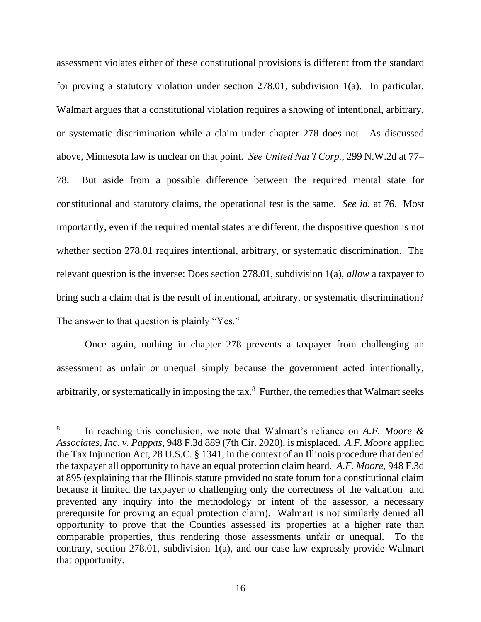assessment violates either of these constitutional provisions is different from the standard for proving a statutory violation under section 278.01, subdivision 1(a). In particular, Walmart argues that a constitutional violation requires a showing of intentional, arbitrary, or systematic discrimination while a claim under chapter 278 does not. As discussed above, Minnesota law is unclear on that point. *See United Nat'l Corp.*, 299 N.W.2d at 77– 78. But aside from a possible difference between the required mental state for constitutional and statutory claims, the operational test is the same. *See id.* at 76. Most importantly, even if the required mental states are different, the dispositive question is not whether section 278.01 requires intentional, arbitrary, or systematic discrimination. The relevant question is the inverse: Does section 278.01, subdivision 1(a), *allow* a taxpayer to bring such a claim that is the result of intentional, arbitrary, or systematic discrimination? The answer to that question is plainly "Yes."

Once again, nothing in chapter 278 prevents a taxpayer from challenging an assessment as unfair or unequal simply because the government acted intentionally, arbitrarily, or systematically in imposing the tax. 8 Further, the remedies that Walmart seeks

<sup>8</sup> In reaching this conclusion, we note that Walmart's reliance on *A.F. Moore & Associates, Inc. v. Pappas*, 948 F.3d 889 (7th Cir. 2020), is misplaced. *A.F. Moore* applied the Tax Injunction Act, 28 U.S.C. § 1341, in the context of an Illinois procedure that denied the taxpayer all opportunity to have an equal protection claim heard. *A.F. Moore*, 948 F.3d at 895 (explaining that the Illinois statute provided no state forum for a constitutional claim because it limited the taxpayer to challenging only the correctness of the valuation and prevented any inquiry into the methodology or intent of the assessor, a necessary prerequisite for proving an equal protection claim). Walmart is not similarly denied all opportunity to prove that the Counties assessed its properties at a higher rate than comparable properties, thus rendering those assessments unfair or unequal. To the contrary, section 278.01, subdivision 1(a), and our case law expressly provide Walmart that opportunity.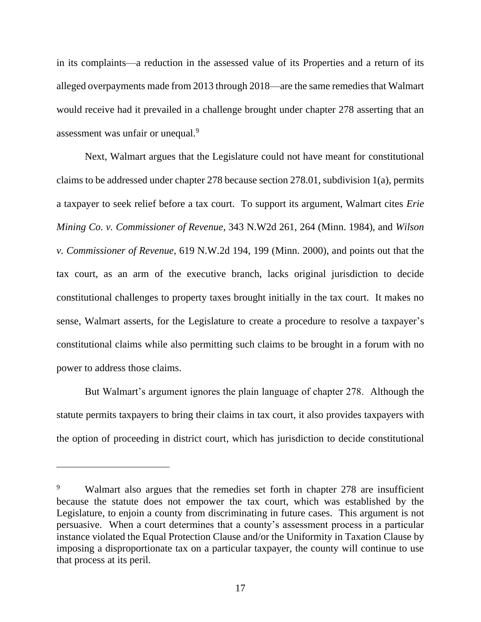in its complaints—a reduction in the assessed value of its Properties and a return of its alleged overpayments made from 2013 through 2018—are the same remedies that Walmart would receive had it prevailed in a challenge brought under chapter 278 asserting that an assessment was unfair or unequal.<sup>9</sup>

Next, Walmart argues that the Legislature could not have meant for constitutional claims to be addressed under chapter 278 because section 278.01, subdivision 1(a), permits a taxpayer to seek relief before a tax court. To support its argument, Walmart cites *Erie Mining Co. v. Commissioner of Revenue*, 343 N.W2d 261, 264 (Minn. 1984), and *Wilson v. Commissioner of Revenue*, 619 N.W.2d 194, 199 (Minn. 2000), and points out that the tax court, as an arm of the executive branch, lacks original jurisdiction to decide constitutional challenges to property taxes brought initially in the tax court. It makes no sense, Walmart asserts, for the Legislature to create a procedure to resolve a taxpayer's constitutional claims while also permitting such claims to be brought in a forum with no power to address those claims.

But Walmart's argument ignores the plain language of chapter 278. Although the statute permits taxpayers to bring their claims in tax court, it also provides taxpayers with the option of proceeding in district court, which has jurisdiction to decide constitutional

<sup>&</sup>lt;sup>9</sup> Walmart also argues that the remedies set forth in chapter 278 are insufficient because the statute does not empower the tax court, which was established by the Legislature, to enjoin a county from discriminating in future cases. This argument is not persuasive. When a court determines that a county's assessment process in a particular instance violated the Equal Protection Clause and/or the Uniformity in Taxation Clause by imposing a disproportionate tax on a particular taxpayer, the county will continue to use that process at its peril.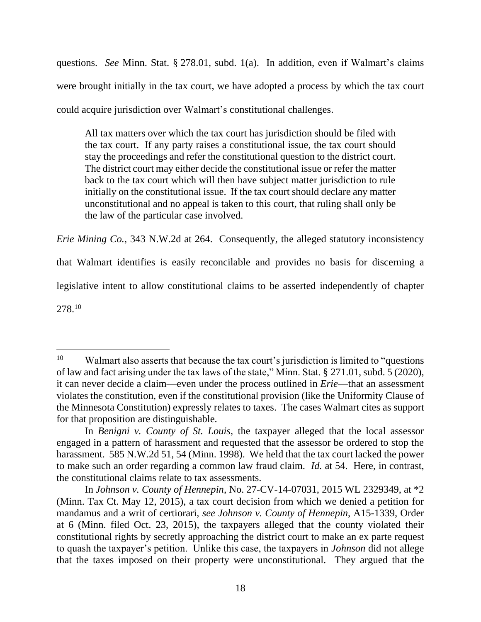questions. *See* Minn. Stat. § 278.01, subd. 1(a). In addition, even if Walmart's claims were brought initially in the tax court, we have adopted a process by which the tax court could acquire jurisdiction over Walmart's constitutional challenges.

All tax matters over which the tax court has jurisdiction should be filed with the tax court. If any party raises a constitutional issue, the tax court should stay the proceedings and refer the constitutional question to the district court. The district court may either decide the constitutional issue or refer the matter back to the tax court which will then have subject matter jurisdiction to rule initially on the constitutional issue. If the tax court should declare any matter unconstitutional and no appeal is taken to this court, that ruling shall only be the law of the particular case involved.

*Erie Mining Co.*, 343 N.W.2d at 264. Consequently, the alleged statutory inconsistency

that Walmart identifies is easily reconcilable and provides no basis for discerning a

legislative intent to allow constitutional claims to be asserted independently of chapter

 $278.10$ 

<sup>&</sup>lt;sup>10</sup> Walmart also asserts that because the tax court's jurisdiction is limited to "questions" of law and fact arising under the tax laws of the state," Minn. Stat. § 271.01, subd. 5 (2020), it can never decide a claim—even under the process outlined in *Erie*—that an assessment violates the constitution, even if the constitutional provision (like the Uniformity Clause of the Minnesota Constitution) expressly relates to taxes. The cases Walmart cites as support for that proposition are distinguishable.

In *Benigni v. County of St. Louis*, the taxpayer alleged that the local assessor engaged in a pattern of harassment and requested that the assessor be ordered to stop the harassment. 585 N.W.2d 51, 54 (Minn. 1998). We held that the tax court lacked the power to make such an order regarding a common law fraud claim. *Id.* at 54. Here, in contrast, the constitutional claims relate to tax assessments.

In *Johnson v. County of Hennepin*, No. 27-CV-14-07031, 2015 WL 2329349, at \*2 (Minn. Tax Ct. May 12, 2015), a tax court decision from which we denied a petition for mandamus and a writ of certiorari, *see Johnson v. County of Hennepin*, A15-1339, Order at 6 (Minn. filed Oct. 23, 2015), the taxpayers alleged that the county violated their constitutional rights by secretly approaching the district court to make an ex parte request to quash the taxpayer's petition. Unlike this case, the taxpayers in *Johnson* did not allege that the taxes imposed on their property were unconstitutional. They argued that the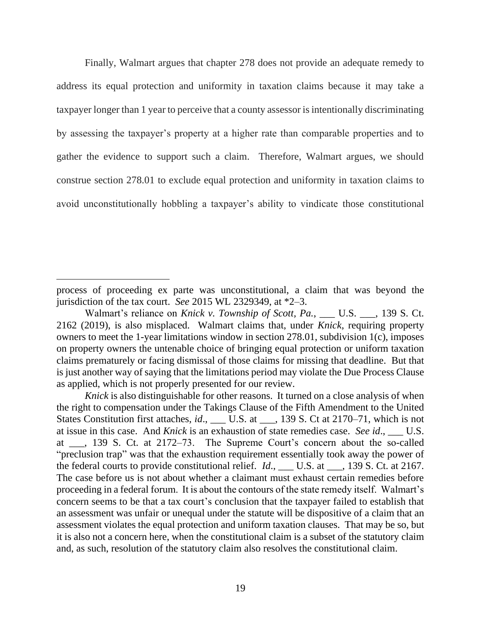Finally, Walmart argues that chapter 278 does not provide an adequate remedy to address its equal protection and uniformity in taxation claims because it may take a taxpayer longer than 1 year to perceive that a county assessor is intentionally discriminating by assessing the taxpayer's property at a higher rate than comparable properties and to gather the evidence to support such a claim. Therefore, Walmart argues, we should construe section 278.01 to exclude equal protection and uniformity in taxation claims to avoid unconstitutionally hobbling a taxpayer's ability to vindicate those constitutional

process of proceeding ex parte was unconstitutional, a claim that was beyond the jurisdiction of the tax court. *See* 2015 WL 2329349, at \*2–3.

Walmart's reliance on *Knick v. Township of Scott, Pa.*, \_\_\_ U.S. \_\_\_, 139 S. Ct. 2162 (2019), is also misplaced. Walmart claims that, under *Knick*, requiring property owners to meet the 1-year limitations window in section 278.01, subdivision 1(c), imposes on property owners the untenable choice of bringing equal protection or uniform taxation claims prematurely or facing dismissal of those claims for missing that deadline. But that is just another way of saying that the limitations period may violate the Due Process Clause as applied, which is not properly presented for our review.

*Knick* is also distinguishable for other reasons. It turned on a close analysis of when the right to compensation under the Takings Clause of the Fifth Amendment to the United States Constitution first attaches, *id.*, \_\_\_ U.S. at \_\_\_, 139 S. Ct at 2170–71, which is not at issue in this case. And *Knick* is an exhaustion of state remedies case. *See id*., \_\_\_ U.S. at \_\_\_, 139 S. Ct. at 2172–73. The Supreme Court's concern about the so-called "preclusion trap" was that the exhaustion requirement essentially took away the power of the federal courts to provide constitutional relief. *Id*., \_\_\_ U.S. at \_\_\_, 139 S. Ct. at 2167. The case before us is not about whether a claimant must exhaust certain remedies before proceeding in a federal forum. It is about the contours of the state remedy itself. Walmart's concern seems to be that a tax court's conclusion that the taxpayer failed to establish that an assessment was unfair or unequal under the statute will be dispositive of a claim that an assessment violates the equal protection and uniform taxation clauses. That may be so, but it is also not a concern here, when the constitutional claim is a subset of the statutory claim and, as such, resolution of the statutory claim also resolves the constitutional claim.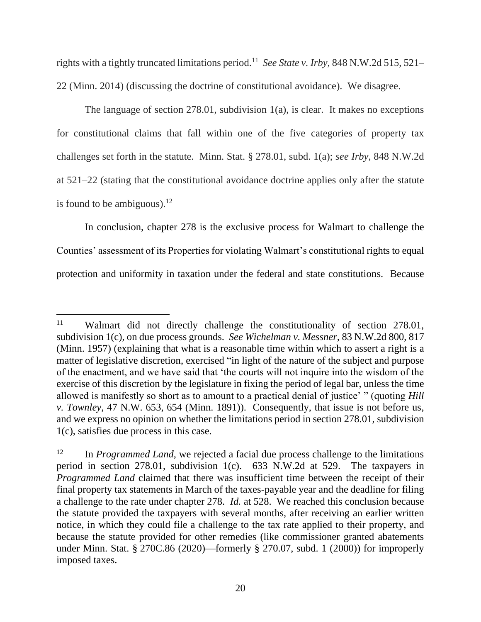rights with a tightly truncated limitations period.<sup>11</sup> *See State v. Irby*, 848 N.W.2d 515, 521– 22 (Minn. 2014) (discussing the doctrine of constitutional avoidance). We disagree.

The language of section  $278.01$ , subdivision  $1(a)$ , is clear. It makes no exceptions for constitutional claims that fall within one of the five categories of property tax challenges set forth in the statute. Minn. Stat. § 278.01, subd. 1(a); *see Irby*, 848 N.W.2d at 521–22 (stating that the constitutional avoidance doctrine applies only after the statute is found to be ambiguous). $12$ 

In conclusion, chapter 278 is the exclusive process for Walmart to challenge the Counties' assessment of its Properties for violating Walmart's constitutional rights to equal protection and uniformity in taxation under the federal and state constitutions. Because

<sup>&</sup>lt;sup>11</sup> Walmart did not directly challenge the constitutionality of section 278.01, subdivision 1(c), on due process grounds. *See Wichelman v. Messner*, 83 N.W.2d 800, 817 (Minn. 1957) (explaining that what is a reasonable time within which to assert a right is a matter of legislative discretion, exercised "in light of the nature of the subject and purpose of the enactment, and we have said that 'the courts will not inquire into the wisdom of the exercise of this discretion by the legislature in fixing the period of legal bar, unless the time allowed is manifestly so short as to amount to a practical denial of justice' " (quoting *Hill v. Townley*, 47 N.W. 653, 654 (Minn. 1891)). Consequently, that issue is not before us, and we express no opinion on whether the limitations period in section 278.01, subdivision 1(c), satisfies due process in this case.

<sup>&</sup>lt;sup>12</sup> In *Programmed Land*, we rejected a facial due process challenge to the limitations period in section 278.01, subdivision 1(c). 633 N.W.2d at 529. The taxpayers in *Programmed Land* claimed that there was insufficient time between the receipt of their final property tax statements in March of the taxes-payable year and the deadline for filing a challenge to the rate under chapter 278. *Id.* at 528. We reached this conclusion because the statute provided the taxpayers with several months, after receiving an earlier written notice, in which they could file a challenge to the tax rate applied to their property, and because the statute provided for other remedies (like commissioner granted abatements under Minn. Stat. § 270C.86 (2020)—formerly § 270.07, subd. 1 (2000)) for improperly imposed taxes.